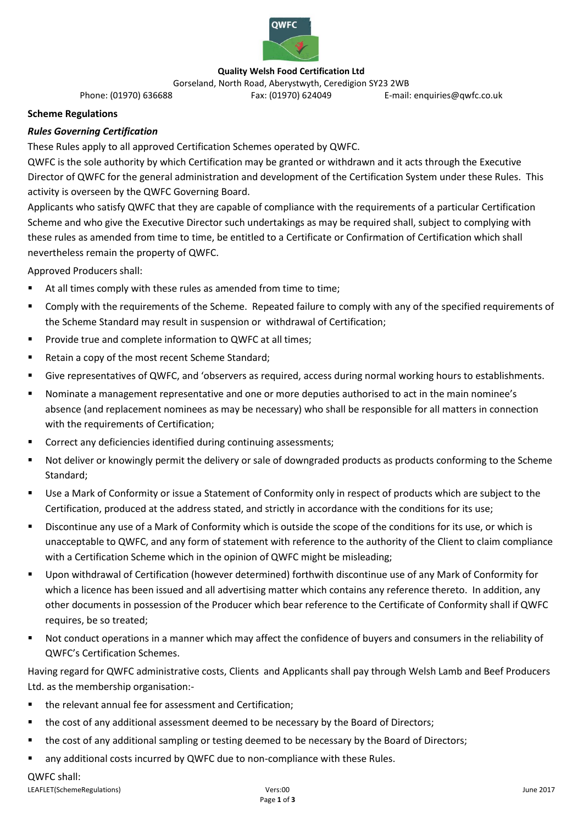

## **Quality Welsh Food Certification Ltd**

Gorseland, North Road, Aberystwyth, Ceredigion SY23 2WB<br>E-mail Fax: (01970) 624049 cmail Fax: (01970) 624049 E-mail: enquiries@qwfc.co.uk

## **Scheme Regulations**

# *Rules Governing Certification*

These Rules apply to all approved Certification Schemes operated by QWFC.

QWFC is the sole authority by which Certification may be granted or withdrawn and it acts through the Executive Director of QWFC for the general administration and development of the Certification System under these Rules. This activity is overseen by the QWFC Governing Board.

Applicants who satisfy QWFC that they are capable of compliance with the requirements of a particular Certification Scheme and who give the Executive Director such undertakings as may be required shall, subject to complying with these rules as amended from time to time, be entitled to a Certificate or Confirmation of Certification which shall nevertheless remain the property of QWFC.

Approved Producers shall:

- At all times comply with these rules as amended from time to time;
- Comply with the requirements of the Scheme. Repeated failure to comply with any of the specified requirements of the Scheme Standard may result in suspension or withdrawal of Certification;
- **Provide true and complete information to QWFC at all times;**
- Retain a copy of the most recent Scheme Standard;
- Give representatives of QWFC, and 'observers as required, access during normal working hours to establishments.
- Nominate a management representative and one or more deputies authorised to act in the main nominee's absence (and replacement nominees as may be necessary) who shall be responsible for all matters in connection with the requirements of Certification;
- Correct any deficiencies identified during continuing assessments;
- Not deliver or knowingly permit the delivery or sale of downgraded products as products conforming to the Scheme Standard;
- Use a Mark of Conformity or issue a Statement of Conformity only in respect of products which are subject to the Certification, produced at the address stated, and strictly in accordance with the conditions for its use;
- Discontinue any use of a Mark of Conformity which is outside the scope of the conditions for its use, or which is unacceptable to QWFC, and any form of statement with reference to the authority of the Client to claim compliance with a Certification Scheme which in the opinion of QWFC might be misleading;
- Upon withdrawal of Certification (however determined) forthwith discontinue use of any Mark of Conformity for which a licence has been issued and all advertising matter which contains any reference thereto. In addition, any other documents in possession of the Producer which bear reference to the Certificate of Conformity shall if QWFC requires, be so treated;
- Not conduct operations in a manner which may affect the confidence of buyers and consumers in the reliability of QWFC's Certification Schemes.

Having regard for QWFC administrative costs, Clients and Applicants shall pay through Welsh Lamb and Beef Producers Ltd. as the membership organisation:-

- the relevant annual fee for assessment and Certification;
- the cost of any additional assessment deemed to be necessary by the Board of Directors;
- **the cost of any additional sampling or testing deemed to be necessary by the Board of Directors;**
- any additional costs incurred by QWFC due to non-compliance with these Rules.

#### QWFC shall: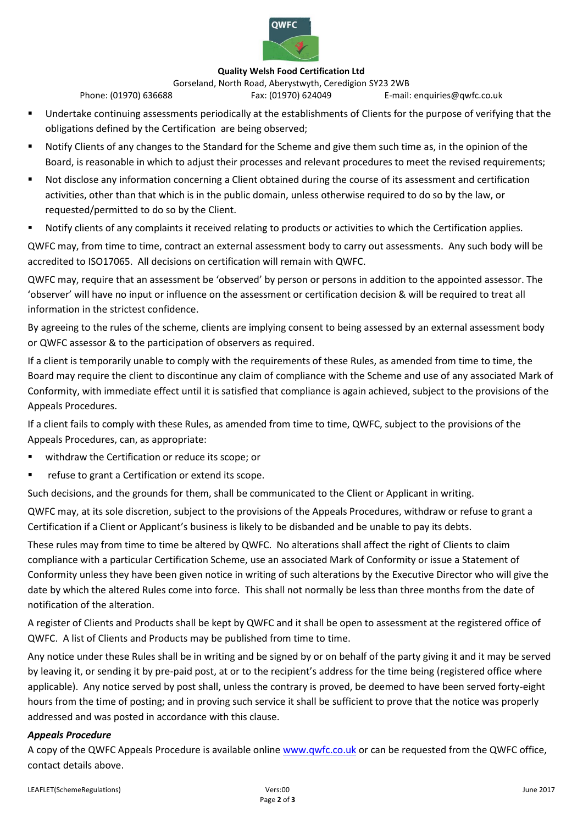

#### **Quality Welsh Food Certification Ltd**

Gorseland, North Road, Aberystwyth, Ceredigion SY23 2WB<br>E-mail Fax: (01970) 624049 cmail Fax: (01970) 624049 E-mail: enquiries@qwfc.co.uk

- Undertake continuing assessments periodically at the establishments of Clients for the purpose of verifying that the obligations defined by the Certification are being observed;
- Notify Clients of any changes to the Standard for the Scheme and give them such time as, in the opinion of the Board, is reasonable in which to adjust their processes and relevant procedures to meet the revised requirements;
- Not disclose any information concerning a Client obtained during the course of its assessment and certification activities, other than that which is in the public domain, unless otherwise required to do so by the law, or requested/permitted to do so by the Client.
- Notify clients of any complaints it received relating to products or activities to which the Certification applies.

QWFC may, from time to time, contract an external assessment body to carry out assessments. Any such body will be accredited to ISO17065. All decisions on certification will remain with QWFC.

QWFC may, require that an assessment be 'observed' by person or persons in addition to the appointed assessor. The 'observer' will have no input or influence on the assessment or certification decision & will be required to treat all information in the strictest confidence.

By agreeing to the rules of the scheme, clients are implying consent to being assessed by an external assessment body or QWFC assessor & to the participation of observers as required.

If a client is temporarily unable to comply with the requirements of these Rules, as amended from time to time, the Board may require the client to discontinue any claim of compliance with the Scheme and use of any associated Mark of Conformity, with immediate effect until it is satisfied that compliance is again achieved, subject to the provisions of the Appeals Procedures.

If a client fails to comply with these Rules, as amended from time to time, QWFC, subject to the provisions of the Appeals Procedures, can, as appropriate:

- withdraw the Certification or reduce its scope; or
- refuse to grant a Certification or extend its scope.

Such decisions, and the grounds for them, shall be communicated to the Client or Applicant in writing.

QWFC may, at its sole discretion, subject to the provisions of the Appeals Procedures, withdraw or refuse to grant a Certification if a Client or Applicant's business is likely to be disbanded and be unable to pay its debts.

These rules may from time to time be altered by QWFC. No alterations shall affect the right of Clients to claim compliance with a particular Certification Scheme, use an associated Mark of Conformity or issue a Statement of Conformity unless they have been given notice in writing of such alterations by the Executive Director who will give the date by which the altered Rules come into force. This shall not normally be less than three months from the date of notification of the alteration.

A register of Clients and Products shall be kept by QWFC and it shall be open to assessment at the registered office of QWFC. A list of Clients and Products may be published from time to time.

Any notice under these Rules shall be in writing and be signed by or on behalf of the party giving it and it may be served by leaving it, or sending it by pre-paid post, at or to the recipient's address for the time being (registered office where applicable). Any notice served by post shall, unless the contrary is proved, be deemed to have been served forty-eight hours from the time of posting; and in proving such service it shall be sufficient to prove that the notice was properly addressed and was posted in accordance with this clause.

## *Appeals Procedure*

A copy of the QWFC Appeals Procedure is available online [www.qwfc.co.uk](http://www.qwfc.co.uk/) or can be requested from the QWFC office, contact details above.